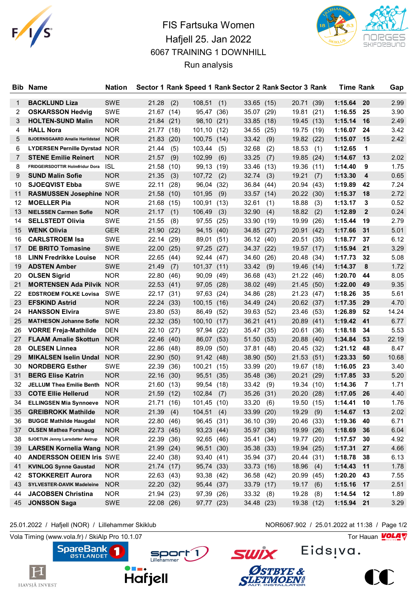

## FIS Fartsuka Women Hafjell 25. Jan 2022 6067 TRAINING 1 DOWNHILL Run analysis



| Bib. | <b>Name</b>                            | <b>Nation</b> |            |      |                 |      |              |            | Sector 1 Rank Speed 1 Rank Sector 2 Rank Sector 3 Rank |      | <b>Time Rank</b> |              | Gap   |
|------|----------------------------------------|---------------|------------|------|-----------------|------|--------------|------------|--------------------------------------------------------|------|------------------|--------------|-------|
| 1    | <b>BACKLUND Liza</b>                   | <b>SWE</b>    | 21.28      | (2)  | 108,51          | (1)  | $33.65$ (15) |            | 20.71                                                  | (39) | 1:15.64          | 20           | 2.99  |
| 2    | <b>OSKARSSON Hedvig</b>                | <b>SWE</b>    | 21.67 (14) |      | 95,47           | (36) | 35.07        | (29)       | 19.81                                                  | (21) | 1:16.55          | 25           | 3.90  |
| 3    | <b>HOLTEN-SUND Malin</b>               | <b>NOR</b>    | 21.84 (21) |      | 98,10           | (21) | 33.85        | (18)       | 19.45 (13)                                             |      | 1:15.14          | 16           | 2.49  |
| 4    | <b>HALL Nora</b>                       | <b>NOR</b>    | 21.77 (18) |      | 101,10          | (12) | 34.55        | (25)       | 19.75                                                  | (19) | 1:16.07          | 24           | 3.42  |
| 5    | BJOERNSGAARD Amalie Harildstad NOR     |               | 21.83(20)  |      | 100,75          | (14) | 33.42        | (9)        | 19.82                                                  | (22) | 1:15.07          | - 15         | 2.42  |
| 6    | LYDERSEN Pernille Dyrstad NOR          |               | 21.44      | (5)  | 103,44          | (5)  | 32.68        | (2)        | 18.53                                                  | (1)  | 1:12.65          | $\mathbf 1$  |       |
| 7    | <b>STENE Emilie Reinert</b>            | <b>NOR</b>    | 21.57      | (9)  | 102,99          | (6)  | 33.25        | (7)        | 19.85                                                  | (24) | 1:14.67          | 13           | 2.02  |
| 8    | FRIDGEIRSDOTTIR Holmfridur Dora        | <b>ISL</b>    | 21.58 (10) |      | 99,13           | (19) | 33.46        | (13)       | 19.36                                                  | (11) | 1:14.40          | 9            | 1.75  |
| 9    | <b>SUND Malin Sofie</b>                | <b>NOR</b>    | 21.35      | (3)  | 107,72          | (2)  | 32.74        | (3)        | 19.21                                                  | (7)  | 1:13.30          | 4            | 0.65  |
| 10   | <b>SJOEQVIST Ebba</b>                  | <b>SWE</b>    | 22.11      | (28) | 96,04           | (32) | 36.84        | (44)       | 20.94                                                  | (43) | 1:19.89          | 42           | 7.24  |
| 11   | <b>RASMUSSEN Josephine NOR</b>         |               | 21.58 (10) |      | 101,95          | (9)  | 33.57 (14)   |            | 20.22                                                  | (30) | 1:15.37          | 18           | 2.72  |
| 12   | <b>MOELLER Pia</b>                     | <b>NOR</b>    | 21.68      | (15) | 100,91          | (13) | 32.61        | (1)        | 18.88                                                  | (3)  | 1:13.17          | 3            | 0.52  |
| 13   | <b>NIELSSEN Carmen Sofie</b>           | <b>NOR</b>    | 21.17      | (1)  | 106,49          | (3)  | 32.90        | (4)        | 18.82                                                  | (2)  | 1:12.89          | $\mathbf{2}$ | 0.24  |
| 14   | <b>SELLSTEDT Olivia</b>                | <b>SWE</b>    | 21.55      | (8)  | 97,55           | (25) | 33.90        | (19)       | 19.99                                                  | (26) | 1:15.44          | 19           | 2.79  |
| 15   | <b>WENK Olivia</b>                     | <b>GER</b>    | 21.90 (22) |      | 94,15           | (40) | 34.85        | (27)       | 20.91                                                  | (42) | 1:17.66          | 31           | 5.01  |
| 16   | <b>CARLSTROEM Isa</b>                  | <b>SWE</b>    | 22.14 (29) |      | 89,01           | (51) | 36.12 (40)   |            | 20.51                                                  | (35) | 1:18.77          | 37           | 6.12  |
| 17   | <b>DE BRITO Tomasine</b>               | <b>SWE</b>    | 22.00 (25) |      | 97,25           | (27) | 34.37 (22)   |            | 19.57 (17)                                             |      | 1:15.94          | 21           | 3.29  |
| 18   | <b>LINN Fredrikke Louise</b>           | <b>NOR</b>    | 22.65 (44) |      | 92,44 (47)      |      | 34.60        | (26)       | 20.48                                                  | (34) | 1:17.73          | 32           | 5.08  |
| 19   | <b>ADSTEN Amber</b>                    | <b>SWE</b>    | 21.49      | (7)  | $101,37$ $(11)$ |      | 33.42        | (9)        | 19.46                                                  | (14) | 1:14.37          | 8            | 1.72  |
| 20   | <b>OLSEN Sigrid</b>                    | <b>NOR</b>    | 22.80      | (46) | 90,09           | (49) | 36.68        | (43)       | 21.22                                                  | (46) | 1:20.70          | 44           | 8.05  |
| 21   | <b>MORTENSEN Ada Pilvik NOR</b>        |               | 22.53 (41) |      | 97,05           | (28) | 38.02 (49)   |            | 21.45 (50)                                             |      | 1:22.00          | 49           | 9.35  |
| 22   | <b>EDSTROEM FOLKE Lovisa SWE</b>       |               | 22.17      | (31) | 97,63           | (24) | 34.86        | (28)       | 21.23                                                  | (47) | 1:18.26          | 35           | 5.61  |
| 23   | <b>EFSKIND Astrid</b>                  | <b>NOR</b>    | 22.24 (33) |      | 100,15          | (16) | 34.49        | (24)       | 20.62                                                  | (37) | 1:17.35          | 29           | 4.70  |
| 24   | <b>HANSSON Elvira</b>                  | <b>SWE</b>    | 23.80 (53) |      | 86,49           | (52) | 39.63        | (52)       | 23.46                                                  | (53) | 1:26.89          | 52           | 14.24 |
| 25   | <b>MATHESON Johanne Sofie</b>          | <b>NOR</b>    | 22.32 (35) |      | 100,10          | (17) | 36.21        | (41)       | 20.89                                                  | (41) | 1:19.42          | 41           | 6.77  |
| 26   | <b>VORRE Freja-Mathilde</b>            | <b>DEN</b>    | 22.10 (27) |      | 97,94           | (22) | 35.47        | (35)       | 20.61                                                  | (36) | 1:18.18          | 34           | 5.53  |
| 27   | <b>FLAAM Amalie Skottun</b>            | <b>NOR</b>    | 22.46 (40) |      | 86,07 (53)      |      | 51.50        | (53)       | 20.88 (40)                                             |      | 1:34.84          | 53           | 22.19 |
| 28   | <b>OLESEN Linnea</b>                   | <b>NOR</b>    | 22.86 (48) |      | 89,09           | (50) | 37.81        | (48)       | 20.45                                                  | (32) | 1:21.12          | 48           | 8.47  |
| 29   | <b>MIKALSEN Iselin Undal</b>           | <b>NOR</b>    | 22.90      | (50) | 91,42 (48)      |      | 38.90        | (50)       | 21.53                                                  | (51) | 1:23.33          | 50           | 10.68 |
| 30   | <b>NORDBERG Esther</b>                 | SWE           | 22.39 (36) |      | 100,21          | (15) | 33.99        | (20)       | 19.67                                                  | (18) | 1:16.05          | 23           | 3.40  |
| 31   | <b>BERG Elise Katrin</b>               | <b>NOR</b>    | 22.16 (30) |      | 95,51           | (35) | 35.48        | (36)       | 20.21                                                  | (29) | 1:17.85          | 33           | 5.20  |
| 32   | <b>JELLUM Thea Emilie Benth</b>        | <b>NOR</b>    | 21.60      | (13) | 99,54           | (18) | 33.42        | (9)        | 19.34                                                  | (10) | 1:14.36          | 7            | 1.71  |
| 33   | <b>COTE Ellie Hellerud</b>             | <b>NOR</b>    | 21.59 (12) |      | 102,84          | (7)  | 35.26        | (31)       | 20.20                                                  | (28) | 1:17.05          | 26           | 4.40  |
| 34   | <b>ELLINGSEN Mia Synnoeve</b>          | <b>NOR</b>    | 21.71 (16) |      | 101,45 (10)     |      | 33.20        | (6)        | 19.50 (15)                                             |      | 1:14.41          | 10           | 1.76  |
| 35   | <b>GREIBROKK Mathilde</b>              | <b>NOR</b>    | 21.39      | (4)  | 104,51          | (4)  | 33.99        | (20)       | 19.29                                                  | (9)  | 1:14.67          | 13           | 2.02  |
| 36   | <b>BUGGE Mathilde Haugdal</b>          | <b>NOR</b>    | 22.80 (46) |      | 96,45 (31)      |      | 36.10        | (39)       | 20.46                                                  | (33) | 1:19.36          | 40           | 6.71  |
| 37   | <b>OLSEN Mathea Forshaug</b>           | <b>NOR</b>    | 22.73 (45) |      | 93,23 (44)      |      | 35.97        | (38)       | 19.99                                                  | (26) | 1:18.69          | 36           | 6.04  |
| 38   | <b>SJOETUN Jenny Larsdatter Astrup</b> | <b>NOR</b>    | 22.39 (36) |      | 92,65 (46)      |      |              | 35.41 (34) | 19.77                                                  | (20) | 1:17.57          | 30           | 4.92  |
| 39   | <b>LARSEN Kornelia Wang NOR</b>        |               | 21.99 (24) |      | 96,51 (30)      |      | 35.38 (33)   |            | 19.94 (25)                                             |      | 1:17.31          | 27           | 4.66  |
| 40   | <b>ANDERSSON OEIEN Iris SWE</b>        |               | 22.40 (38) |      | 93,40 (41)      |      |              | 35.94 (37) | 20.44 (31)                                             |      | 1:18.78          | 38           | 6.13  |
| 41   | <b>KVINLOG Synne Gaustad</b>           | <b>NOR</b>    | 21.74 (17) |      | 95,74 (33)      |      |              | 33.73 (16) | 18.96                                                  | (4)  | 1:14.43          | 11           | 1.78  |
| 42   | <b>STOKKEREIT Aurora</b>               | <b>NOR</b>    | 22.63 (43) |      | 93,38 (42)      |      | 36.58        | (42)       | 20.99                                                  | (45) | 1:20.20          | 43           | 7.55  |
| 43   | SYLVESTER-DAVIK Madeleine              | <b>NOR</b>    | 22.20 (32) |      | 95,44 (37)      |      | 33.79 (17)   |            | 19.17                                                  | (6)  | 1:15.16          | 17           | 2.51  |
| 44   | <b>JACOBSEN Christina</b>              | <b>NOR</b>    | 21.94 (23) |      | 97,39 (26)      |      | 33.32(8)     |            | 19.28                                                  | (8)  | 1:14.54          | 12           | 1.89  |
| 45   | <b>JONSSON Saga</b>                    | SWE           | 22.08 (26) |      | 97,77 (23)      |      | 34.48 (23)   |            | 19.38 (12)                                             |      | 1:15.94 21       |              | 3.29  |

**SpareBank** 

 $\mathbf{H}$ 

HAVSJÅ INVEST

r

25.01.2022 / Hafjell (NOR) / Lillehammer Skiklub NOR6067.902 / 25.01.2022 at 11:38 / Page 1/2

Vola Timing (www.vola.fr) / SkiAlp Pro 10.1.07 Tor Hauan Motor Pro 10.1.07 Tor Hauan Motor Pro 10.1.07